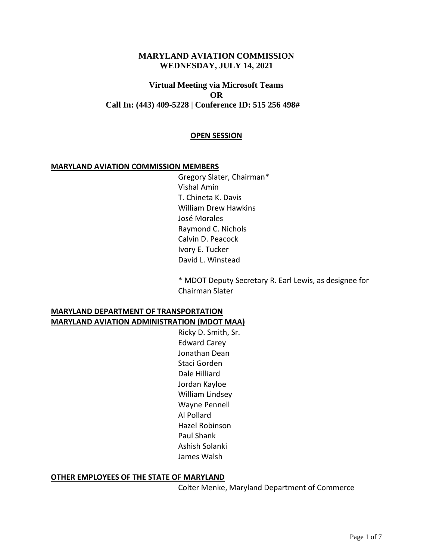### **MARYLAND AVIATION COMMISSION WEDNESDAY, JULY 14, 2021**

## **Virtual Meeting via Microsoft Teams OR Call In: (443) 409-5228 | Conference ID: 515 256 498#**

#### **OPEN SESSION**

#### **MARYLAND AVIATION COMMISSION MEMBERS**

Gregory Slater, Chairman\* Vishal Amin T. Chineta K. Davis William Drew Hawkins José Morales Raymond C. Nichols Calvin D. Peacock Ivory E. Tucker David L. Winstead

\* MDOT Deputy Secretary R. Earl Lewis, as designee for Chairman Slater

#### **MARYLAND DEPARTMENT OF TRANSPORTATION MARYLAND AVIATION ADMINISTRATION (MDOT MAA)**

Ricky D. Smith, Sr. Edward Carey Jonathan Dean Staci Gorden Dale Hilliard Jordan Kayloe William Lindsey Wayne Pennell Al Pollard Hazel Robinson Paul Shank Ashish Solanki James Walsh

#### **OTHER EMPLOYEES OF THE STATE OF MARYLAND**

Colter Menke, Maryland Department of Commerce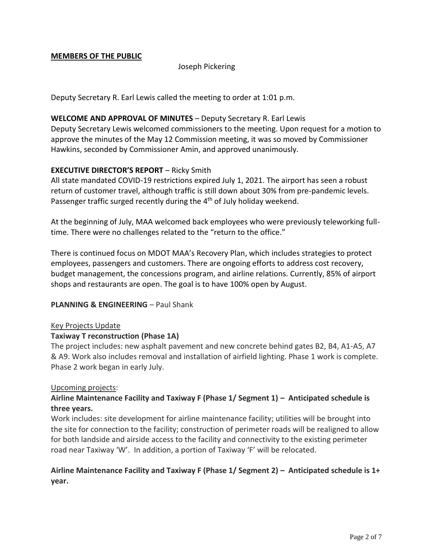### **MEMBERS OF THE PUBLIC**

### Joseph Pickering

Deputy Secretary R. Earl Lewis called the meeting to order at 1:01 p.m.

### **WELCOME AND APPROVAL OF MINUTES** – Deputy Secretary R. Earl Lewis

Deputy Secretary Lewis welcomed commissioners to the meeting. Upon request for a motion to approve the minutes of the May 12 Commission meeting, it was so moved by Commissioner Hawkins, seconded by Commissioner Amin, and approved unanimously.

#### **EXECUTIVE DIRECTOR'S REPORT** – Ricky Smith

All state mandated COVID-19 restrictions expired July 1, 2021. The airport has seen a robust return of customer travel, although traffic is still down about 30% from pre-pandemic levels. Passenger traffic surged recently during the 4<sup>th</sup> of July holiday weekend.

At the beginning of July, MAA welcomed back employees who were previously teleworking fulltime. There were no challenges related to the "return to the office."

There is continued focus on MDOT MAA's Recovery Plan, which includes strategies to protect employees, passengers and customers. There are ongoing efforts to address cost recovery, budget management, the concessions program, and airline relations. Currently, 85% of airport shops and restaurants are open. The goal is to have 100% open by August.

#### **PLANNING & ENGINEERING - Paul Shank**

#### Key Projects Update

#### **Taxiway T reconstruction (Phase 1A)**

The project includes: new asphalt pavement and new concrete behind gates B2, B4, A1-A5, A7 & A9. Work also includes removal and installation of airfield lighting. Phase 1 work is complete. Phase 2 work began in early July.

#### Upcoming projects:

# **Airline Maintenance Facility and Taxiway F (Phase 1/ Segment 1) – Anticipated schedule is three years.**

Work includes: site development for airline maintenance facility; utilities will be brought into the site for connection to the facility; construction of perimeter roads will be realigned to allow for both landside and airside access to the facility and connectivity to the existing perimeter road near Taxiway 'W'. In addition, a portion of Taxiway 'F' will be relocated.

## **Airline Maintenance Facility and Taxiway F (Phase 1/ Segment 2) – Anticipated schedule is 1+ year.**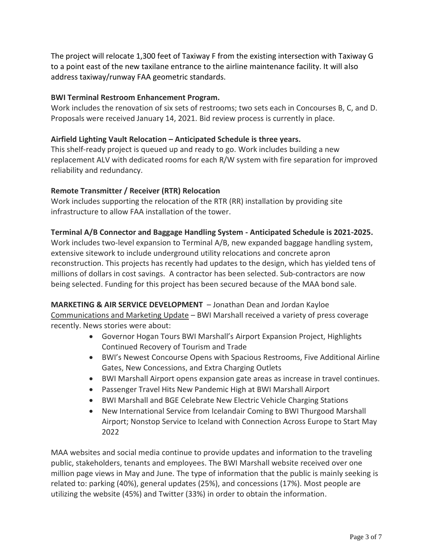The project will relocate 1,300 feet of Taxiway F from the existing intersection with Taxiway G to a point east of the new taxilane entrance to the airline maintenance facility. It will also address taxiway/runway FAA geometric standards.

## **BWI Terminal Restroom Enhancement Program.**

Work includes the renovation of six sets of restrooms; two sets each in Concourses B, C, and D. Proposals were received January 14, 2021. Bid review process is currently in place.

### **Airfield Lighting Vault Relocation – Anticipated Schedule is three years.**

This shelf-ready project is queued up and ready to go. Work includes building a new replacement ALV with dedicated rooms for each R/W system with fire separation for improved reliability and redundancy.

## **Remote Transmitter / Receiver (RTR) Relocation**

Work includes supporting the relocation of the RTR (RR) installation by providing site infrastructure to allow FAA installation of the tower.

## **Terminal A/B Connector and Baggage Handling System - Anticipated Schedule is 2021-2025.**

Work includes two-level expansion to Terminal A/B, new expanded baggage handling system, extensive sitework to include underground utility relocations and concrete apron reconstruction. This projects has recently had updates to the design, which has yielded tens of millions of dollars in cost savings. A contractor has been selected. Sub-contractors are now being selected. Funding for this project has been secured because of the MAA bond sale.

**MARKETING & AIR SERVICE DEVELOPMENT** – Jonathan Dean and Jordan Kayloe Communications and Marketing Update – BWI Marshall received a variety of press coverage recently. News stories were about:

- Governor Hogan Tours BWI Marshall's Airport Expansion Project, Highlights Continued Recovery of Tourism and Trade
- BWI's Newest Concourse Opens with Spacious Restrooms, Five Additional Airline Gates, New Concessions, and Extra Charging Outlets
- BWI Marshall Airport opens expansion gate areas as increase in travel continues.
- Passenger Travel Hits New Pandemic High at BWI Marshall Airport
- BWI Marshall and BGE Celebrate New Electric Vehicle Charging Stations
- New International Service from Icelandair Coming to BWI Thurgood Marshall Airport; Nonstop Service to Iceland with Connection Across Europe to Start May 2022

MAA websites and social media continue to provide updates and information to the traveling public, stakeholders, tenants and employees. The BWI Marshall website received over one million page views in May and June. The type of information that the public is mainly seeking is related to: parking (40%), general updates (25%), and concessions (17%). Most people are utilizing the website (45%) and Twitter (33%) in order to obtain the information.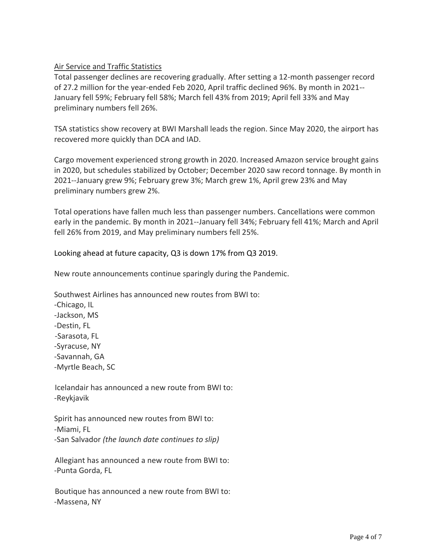## Air Service and Traffic Statistics

Total passenger declines are recovering gradually. After setting a 12-month passenger record of 27.2 million for the year-ended Feb 2020, April traffic declined 96%. By month in 2021-- January fell 59%; February fell 58%; March fell 43% from 2019; April fell 33% and May preliminary numbers fell 26%.

TSA statistics show recovery at BWI Marshall leads the region. Since May 2020, the airport has recovered more quickly than DCA and IAD.

Cargo movement experienced strong growth in 2020. Increased Amazon service brought gains in 2020, but schedules stabilized by October; December 2020 saw record tonnage. By month in 2021--January grew 9%; February grew 3%; March grew 1%, April grew 23% and May preliminary numbers grew 2%.

Total operations have fallen much less than passenger numbers. Cancellations were common early in the pandemic. By month in 2021--January fell 34%; February fell 41%; March and April fell 26% from 2019, and May preliminary numbers fell 25%.

Looking ahead at future capacity, Q3 is down 17% from Q3 2019.

New route announcements continue sparingly during the Pandemic.

Southwest Airlines has announced new routes from BWI to: -Chicago, IL -Jackson, MS -Destin, FL -Sarasota, FL -Syracuse, NY -Savannah, GA -Myrtle Beach, SC

 Icelandair has announced a new route from BWI to: -Reykjavik

Spirit has announced new routes from BWI to: -Miami, FL -San Salvador *(the launch date continues to slip)*

 Allegiant has announced a new route from BWI to: -Punta Gorda, FL

 Boutique has announced a new route from BWI to: -Massena, NY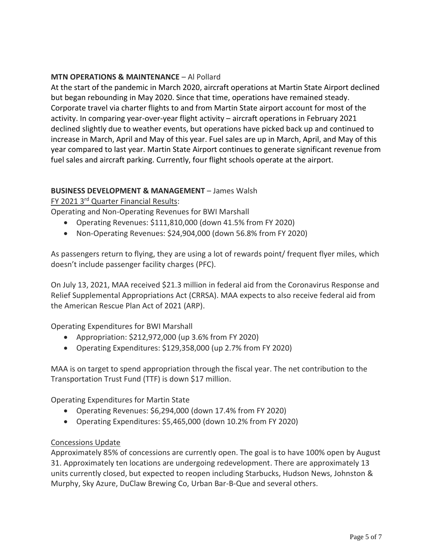## **MTN OPERATIONS & MAINTENANCE** – Al Pollard

At the start of the pandemic in March 2020, aircraft operations at Martin State Airport declined but began rebounding in May 2020. Since that time, operations have remained steady. Corporate travel via charter flights to and from Martin State airport account for most of the activity. In comparing year-over-year flight activity – aircraft operations in February 2021 declined slightly due to weather events, but operations have picked back up and continued to increase in March, April and May of this year. Fuel sales are up in March, April, and May of this year compared to last year. Martin State Airport continues to generate significant revenue from fuel sales and aircraft parking. Currently, four flight schools operate at the airport.

## **BUSINESS DEVELOPMENT & MANAGEMENT** – James Walsh

FY 2021 3rd Quarter Financial Results:

Operating and Non-Operating Revenues for BWI Marshall

- Operating Revenues: \$111,810,000 (down 41.5% from FY 2020)
- Non-Operating Revenues: \$24,904,000 (down 56.8% from FY 2020)

As passengers return to flying, they are using a lot of rewards point/ frequent flyer miles, which doesn't include passenger facility charges (PFC).

On July 13, 2021, MAA received \$21.3 million in federal aid from the Coronavirus Response and Relief Supplemental Appropriations Act (CRRSA). MAA expects to also receive federal aid from the American Rescue Plan Act of 2021 (ARP).

Operating Expenditures for BWI Marshall

- Appropriation: \$212,972,000 (up 3.6% from FY 2020)
- Operating Expenditures: \$129,358,000 (up 2.7% from FY 2020)

MAA is on target to spend appropriation through the fiscal year. The net contribution to the Transportation Trust Fund (TTF) is down \$17 million.

Operating Expenditures for Martin State

- Operating Revenues: \$6,294,000 (down 17.4% from FY 2020)
- Operating Expenditures: \$5,465,000 (down 10.2% from FY 2020)

### Concessions Update

Approximately 85% of concessions are currently open. The goal is to have 100% open by August 31. Approximately ten locations are undergoing redevelopment. There are approximately 13 units currently closed, but expected to reopen including Starbucks, Hudson News, Johnston & Murphy, Sky Azure, DuClaw Brewing Co, Urban Bar-B-Que and several others.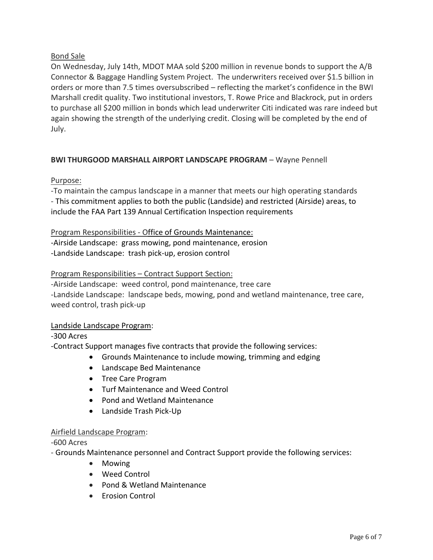# Bond Sale

On Wednesday, July 14th, MDOT MAA sold \$200 million in revenue bonds to support the A/B Connector & Baggage Handling System Project. The underwriters received over \$1.5 billion in orders or more than 7.5 times oversubscribed – reflecting the market's confidence in the BWI Marshall credit quality. Two institutional investors, T. Rowe Price and Blackrock, put in orders to purchase all \$200 million in bonds which lead underwriter Citi indicated was rare indeed but again showing the strength of the underlying credit. Closing will be completed by the end of July.

# **BWI THURGOOD MARSHALL AIRPORT LANDSCAPE PROGRAM - Wayne Pennell**

# Purpose:

-To maintain the campus landscape in a manner that meets our high operating standards - This commitment applies to both the public (Landside) and restricted (Airside) areas, to include the FAA Part 139 Annual Certification Inspection requirements

# Program Responsibilities - Office of Grounds Maintenance:

-Airside Landscape: grass mowing, pond maintenance, erosion -Landside Landscape: trash pick-up, erosion control

# Program Responsibilities – Contract Support Section:

-Airside Landscape: weed control, pond maintenance, tree care -Landside Landscape: landscape beds, mowing, pond and wetland maintenance, tree care, weed control, trash pick-up

# Landside Landscape Program:

-300 Acres

-Contract Support manages five contracts that provide the following services:

- Grounds Maintenance to include mowing, trimming and edging
- Landscape Bed Maintenance
- Tree Care Program
- Turf Maintenance and Weed Control
- Pond and Wetland Maintenance
- Landside Trash Pick-Up

# Airfield Landscape Program:

-600 Acres

- Grounds Maintenance personnel and Contract Support provide the following services:

- Mowing
- Weed Control
- Pond & Wetland Maintenance
- Erosion Control